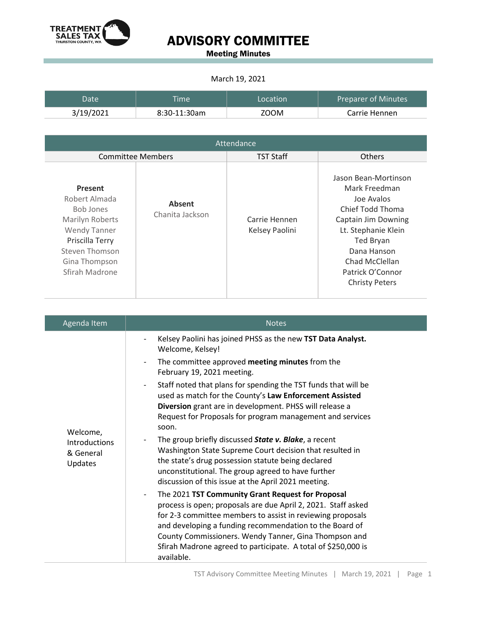

Meeting Minutes

#### March 19, 2021

| Date      | <b>Time</b>  | Location | <b>Preparer of Minutes</b> |
|-----------|--------------|----------|----------------------------|
| 3/19/2021 | 8:30-11:30am | ZOOM     | Carrie Hennen              |

|                                                                                                                                                                       | Attendance                       |                                 |                                                                                                                                                                                                                  |  |  |
|-----------------------------------------------------------------------------------------------------------------------------------------------------------------------|----------------------------------|---------------------------------|------------------------------------------------------------------------------------------------------------------------------------------------------------------------------------------------------------------|--|--|
|                                                                                                                                                                       | <b>Committee Members</b>         | <b>TST Staff</b>                | <b>Others</b>                                                                                                                                                                                                    |  |  |
| Present<br>Robert Almada<br><b>Bob Jones</b><br>Marilyn Roberts<br><b>Wendy Tanner</b><br>Priscilla Terry<br><b>Steven Thomson</b><br>Gina Thompson<br>Sfirah Madrone | <b>Absent</b><br>Chanita Jackson | Carrie Hennen<br>Kelsey Paolini | Jason Bean-Mortinson<br>Mark Freedman<br>Joe Avalos<br>Chief Todd Thoma<br>Captain Jim Downing<br>Lt. Stephanie Klein<br>Ted Bryan<br>Dana Hanson<br>Chad McClellan<br>Patrick O'Connor<br><b>Christy Peters</b> |  |  |

| Agenda Item                                                     | <b>Notes</b>                                                                                                                                                                                                                                                                                                                                                                        |  |
|-----------------------------------------------------------------|-------------------------------------------------------------------------------------------------------------------------------------------------------------------------------------------------------------------------------------------------------------------------------------------------------------------------------------------------------------------------------------|--|
| Welcome,<br><b>Introductions</b><br>& General<br><b>Updates</b> | Kelsey Paolini has joined PHSS as the new TST Data Analyst.<br>Welcome, Kelsey!                                                                                                                                                                                                                                                                                                     |  |
|                                                                 | The committee approved meeting minutes from the<br>February 19, 2021 meeting.                                                                                                                                                                                                                                                                                                       |  |
|                                                                 | Staff noted that plans for spending the TST funds that will be<br>used as match for the County's Law Enforcement Assisted<br>Diversion grant are in development. PHSS will release a<br>Request for Proposals for program management and services<br>soon.                                                                                                                          |  |
|                                                                 | The group briefly discussed State v. Blake, a recent<br>Washington State Supreme Court decision that resulted in<br>the state's drug possession statute being declared<br>unconstitutional. The group agreed to have further<br>discussion of this issue at the April 2021 meeting.                                                                                                 |  |
|                                                                 | The 2021 TST Community Grant Request for Proposal<br>process is open; proposals are due April 2, 2021. Staff asked<br>for 2-3 committee members to assist in reviewing proposals<br>and developing a funding recommendation to the Board of<br>County Commissioners. Wendy Tanner, Gina Thompson and<br>Sfirah Madrone agreed to participate. A total of \$250,000 is<br>available. |  |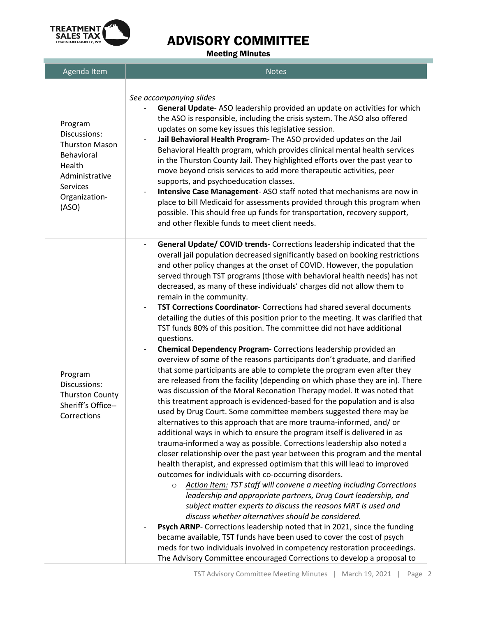

Meeting Minutes

| Agenda Item                                                                                                                      | <b>Notes</b>                                                                                                                                                                                                                                                                                                                                                                                                                                                                                                                                                                                                                                                                                                                                                                                                                                                                                                                                                                                                                                                                                                                                                                                                                                                                                                                                                                                                                                                                                                                                                                                                                                                                                                                                                                                                                                                                                                                                                                                                                                                                                                                                                                                                                                                                           |  |
|----------------------------------------------------------------------------------------------------------------------------------|----------------------------------------------------------------------------------------------------------------------------------------------------------------------------------------------------------------------------------------------------------------------------------------------------------------------------------------------------------------------------------------------------------------------------------------------------------------------------------------------------------------------------------------------------------------------------------------------------------------------------------------------------------------------------------------------------------------------------------------------------------------------------------------------------------------------------------------------------------------------------------------------------------------------------------------------------------------------------------------------------------------------------------------------------------------------------------------------------------------------------------------------------------------------------------------------------------------------------------------------------------------------------------------------------------------------------------------------------------------------------------------------------------------------------------------------------------------------------------------------------------------------------------------------------------------------------------------------------------------------------------------------------------------------------------------------------------------------------------------------------------------------------------------------------------------------------------------------------------------------------------------------------------------------------------------------------------------------------------------------------------------------------------------------------------------------------------------------------------------------------------------------------------------------------------------------------------------------------------------------------------------------------------------|--|
| Program<br>Discussions:<br><b>Thurston Mason</b><br>Behavioral<br>Health<br>Administrative<br>Services<br>Organization-<br>(ASO) | See accompanying slides<br>General Update-ASO leadership provided an update on activities for which<br>the ASO is responsible, including the crisis system. The ASO also offered<br>updates on some key issues this legislative session.<br>Jail Behavioral Health Program- The ASO provided updates on the Jail<br>Behavioral Health program, which provides clinical mental health services<br>in the Thurston County Jail. They highlighted efforts over the past year to<br>move beyond crisis services to add more therapeutic activities, peer<br>supports, and psychoeducation classes.<br>Intensive Case Management-ASO staff noted that mechanisms are now in<br>place to bill Medicaid for assessments provided through this program when<br>possible. This should free up funds for transportation, recovery support,<br>and other flexible funds to meet client needs.                                                                                                                                                                                                                                                                                                                                                                                                                                                                                                                                                                                                                                                                                                                                                                                                                                                                                                                                                                                                                                                                                                                                                                                                                                                                                                                                                                                                     |  |
| Program<br>Discussions:<br><b>Thurston County</b><br>Sheriff's Office--<br>Corrections                                           | General Update/ COVID trends- Corrections leadership indicated that the<br>overall jail population decreased significantly based on booking restrictions<br>and other policy changes at the onset of COVID. However, the population<br>served through TST programs (those with behavioral health needs) has not<br>decreased, as many of these individuals' charges did not allow them to<br>remain in the community.<br>TST Corrections Coordinator- Corrections had shared several documents<br>detailing the duties of this position prior to the meeting. It was clarified that<br>TST funds 80% of this position. The committee did not have additional<br>questions.<br>Chemical Dependency Program- Corrections leadership provided an<br>$\overline{\phantom{a}}$<br>overview of some of the reasons participants don't graduate, and clarified<br>that some participants are able to complete the program even after they<br>are released from the facility (depending on which phase they are in). There<br>was discussion of the Moral Reconation Therapy model. It was noted that<br>this treatment approach is evidenced-based for the population and is also<br>used by Drug Court. Some committee members suggested there may be<br>alternatives to this approach that are more trauma-informed, and/or<br>additional ways in which to ensure the program itself is delivered in as<br>trauma-informed a way as possible. Corrections leadership also noted a<br>closer relationship over the past year between this program and the mental<br>health therapist, and expressed optimism that this will lead to improved<br>outcomes for individuals with co-occurring disorders.<br>Action Item: TST staff will convene a meeting including Corrections<br>$\circ$<br>leadership and appropriate partners, Drug Court leadership, and<br>subject matter experts to discuss the reasons MRT is used and<br>discuss whether alternatives should be considered.<br>Psych ARNP- Corrections leadership noted that in 2021, since the funding<br>became available, TST funds have been used to cover the cost of psych<br>meds for two individuals involved in competency restoration proceedings.<br>The Advisory Committee encouraged Corrections to develop a proposal to |  |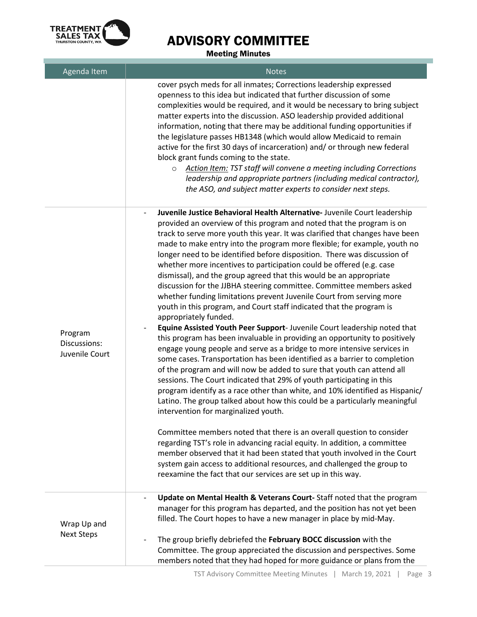

Meeting Minutes

| Agenda Item                               | <b>Notes</b>                                                                                                                                                                                                                                                                                                                                                                                                                                                                                                                                                                                                                                                                                                                                                                                                                                                                                                                                                                                                                                                                                                                                                                                                                                                                                                                                                                                                                                                                                                                                                                                                                                                                                                                                                                                                                                      |
|-------------------------------------------|---------------------------------------------------------------------------------------------------------------------------------------------------------------------------------------------------------------------------------------------------------------------------------------------------------------------------------------------------------------------------------------------------------------------------------------------------------------------------------------------------------------------------------------------------------------------------------------------------------------------------------------------------------------------------------------------------------------------------------------------------------------------------------------------------------------------------------------------------------------------------------------------------------------------------------------------------------------------------------------------------------------------------------------------------------------------------------------------------------------------------------------------------------------------------------------------------------------------------------------------------------------------------------------------------------------------------------------------------------------------------------------------------------------------------------------------------------------------------------------------------------------------------------------------------------------------------------------------------------------------------------------------------------------------------------------------------------------------------------------------------------------------------------------------------------------------------------------------------|
|                                           | cover psych meds for all inmates; Corrections leadership expressed<br>openness to this idea but indicated that further discussion of some<br>complexities would be required, and it would be necessary to bring subject<br>matter experts into the discussion. ASO leadership provided additional<br>information, noting that there may be additional funding opportunities if<br>the legislature passes HB1348 (which would allow Medicaid to remain<br>active for the first 30 days of incarceration) and/ or through new federal<br>block grant funds coming to the state.<br>Action Item: TST staff will convene a meeting including Corrections<br>$\circ$<br>leadership and appropriate partners (including medical contractor),<br>the ASO, and subject matter experts to consider next steps.                                                                                                                                                                                                                                                                                                                                                                                                                                                                                                                                                                                                                                                                                                                                                                                                                                                                                                                                                                                                                                             |
| Program<br>Discussions:<br>Juvenile Court | Juvenile Justice Behavioral Health Alternative- Juvenile Court leadership<br>provided an overview of this program and noted that the program is on<br>track to serve more youth this year. It was clarified that changes have been<br>made to make entry into the program more flexible; for example, youth no<br>longer need to be identified before disposition. There was discussion of<br>whether more incentives to participation could be offered (e.g. case<br>dismissal), and the group agreed that this would be an appropriate<br>discussion for the JJBHA steering committee. Committee members asked<br>whether funding limitations prevent Juvenile Court from serving more<br>youth in this program, and Court staff indicated that the program is<br>appropriately funded.<br>Equine Assisted Youth Peer Support- Juvenile Court leadership noted that<br>this program has been invaluable in providing an opportunity to positively<br>engage young people and serve as a bridge to more intensive services in<br>some cases. Transportation has been identified as a barrier to completion<br>of the program and will now be added to sure that youth can attend all<br>sessions. The Court indicated that 29% of youth participating in this<br>program identify as a race other than white, and 10% identified as Hispanic/<br>Latino. The group talked about how this could be a particularly meaningful<br>intervention for marginalized youth.<br>Committee members noted that there is an overall question to consider<br>regarding TST's role in advancing racial equity. In addition, a committee<br>member observed that it had been stated that youth involved in the Court<br>system gain access to additional resources, and challenged the group to<br>reexamine the fact that our services are set up in this way. |
| Wrap Up and<br><b>Next Steps</b>          | Update on Mental Health & Veterans Court-Staff noted that the program<br>manager for this program has departed, and the position has not yet been<br>filled. The Court hopes to have a new manager in place by mid-May.<br>The group briefly debriefed the February BOCC discussion with the<br>Committee. The group appreciated the discussion and perspectives. Some<br>members noted that they had hoped for more guidance or plans from the                                                                                                                                                                                                                                                                                                                                                                                                                                                                                                                                                                                                                                                                                                                                                                                                                                                                                                                                                                                                                                                                                                                                                                                                                                                                                                                                                                                                   |